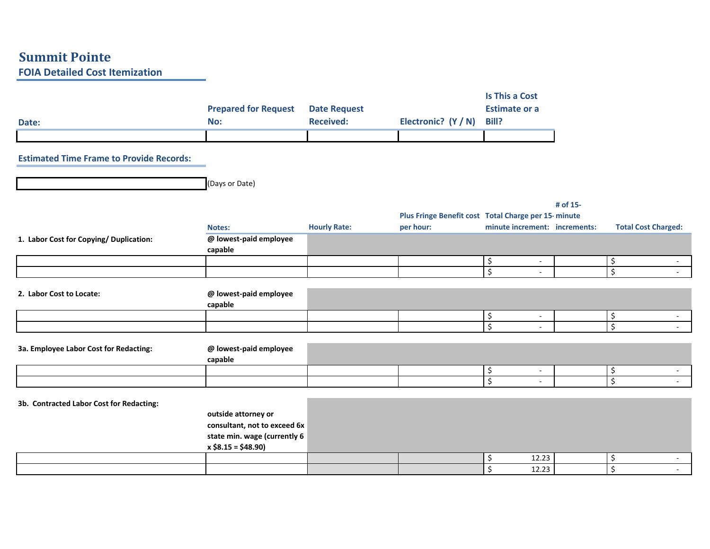## **Summit Pointe FOIA Detailed Cost Itemization**

| Date:                                           | <b>Prepared for Request</b><br>No:                  | <b>Date Request</b><br><b>Received:</b> | Electronic? (Y / N)                                 | <b>Is This a Cost</b><br><b>Estimate or a</b><br><b>Bill?</b> |          |                                    |
|-------------------------------------------------|-----------------------------------------------------|-----------------------------------------|-----------------------------------------------------|---------------------------------------------------------------|----------|------------------------------------|
| <b>Estimated Time Frame to Provide Records:</b> |                                                     |                                         |                                                     |                                                               |          |                                    |
|                                                 |                                                     |                                         |                                                     |                                                               |          |                                    |
|                                                 | (Days or Date)                                      |                                         |                                                     |                                                               |          |                                    |
|                                                 |                                                     |                                         |                                                     |                                                               | # of 15- |                                    |
|                                                 |                                                     |                                         | Plus Fringe Benefit cost Total Charge per 15-minute |                                                               |          |                                    |
|                                                 | Notes:                                              | <b>Hourly Rate:</b>                     | per hour:                                           | minute increment: increments:                                 |          | <b>Total Cost Charged:</b>         |
| 1. Labor Cost for Copying/ Duplication:         | @ lowest-paid employee<br>capable                   |                                         |                                                     |                                                               |          |                                    |
|                                                 |                                                     |                                         |                                                     | \$<br>$\overline{\phantom{a}}$                                |          | \$<br>$\sim$                       |
|                                                 |                                                     |                                         |                                                     | $\overline{\xi}$<br>$\overline{\phantom{a}}$                  |          | $\overline{\xi}$<br>$\sim$         |
| 2. Labor Cost to Locate:                        | @ lowest-paid employee<br>capable                   |                                         |                                                     |                                                               |          |                                    |
|                                                 |                                                     |                                         |                                                     | \$<br>$\sim$                                                  |          | \$                                 |
|                                                 |                                                     |                                         |                                                     | $\overline{\mathcal{S}}$<br>$\sim$                            |          | $\overline{\mathcal{S}}$<br>$\sim$ |
| 3a. Employee Labor Cost for Redacting:          | @ lowest-paid employee<br>capable                   |                                         |                                                     |                                                               |          |                                    |
|                                                 |                                                     |                                         |                                                     | \$<br>$\omega$                                                |          | \$                                 |
|                                                 |                                                     |                                         |                                                     | $\overline{\xi}$                                              |          | $\overline{\mathcal{S}}$           |
| 3b. Contracted Labor Cost for Redacting:        |                                                     |                                         |                                                     |                                                               |          |                                    |
|                                                 | outside attorney or<br>consultant, not to exceed 6x |                                         |                                                     |                                                               |          |                                    |
|                                                 | state min. wage (currently 6<br>$x $8.15 = $48.90$  |                                         |                                                     |                                                               |          |                                    |
|                                                 |                                                     |                                         |                                                     | 12.23<br>\$                                                   |          | \$                                 |
|                                                 |                                                     |                                         |                                                     | $\zeta$<br>12.23                                              |          | $\zeta$                            |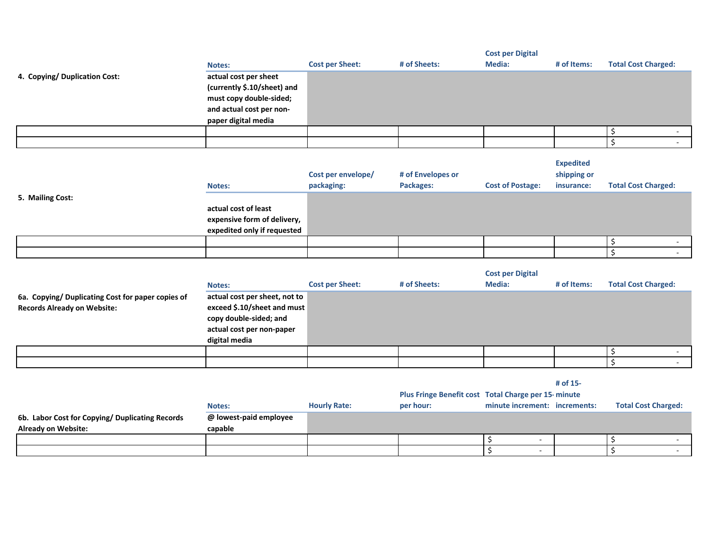|                               | <b>Notes:</b>                                                                                                                      | <b>Cost per Sheet:</b> | # of Sheets: | <b>Cost per Digital</b><br>Media: | # of Items: | <b>Total Cost Charged:</b> |
|-------------------------------|------------------------------------------------------------------------------------------------------------------------------------|------------------------|--------------|-----------------------------------|-------------|----------------------------|
| 4. Copying/ Duplication Cost: | actual cost per sheet<br>(currently \$.10/sheet) and<br>must copy double-sided;<br>and actual cost per non-<br>paper digital media |                        |              |                                   |             |                            |
|                               |                                                                                                                                    |                        |              |                                   |             |                            |
|                               |                                                                                                                                    |                        |              |                                   |             |                            |

| <b>Expedited</b> |
|------------------|
| shipping or      |

|  | <b>Notes:</b>    | Cost per envelope/<br>packaging:                                                   | # of Envelopes or<br>Packages: | <b>Cost of Postage:</b> | shipping or<br>insurance: | <b>Total Cost Charged:</b> |  |   |
|--|------------------|------------------------------------------------------------------------------------|--------------------------------|-------------------------|---------------------------|----------------------------|--|---|
|  | 5. Mailing Cost: | actual cost of least<br>expensive form of delivery,<br>expedited only if requested |                                |                         |                           |                            |  |   |
|  |                  |                                                                                    |                                |                         |                           |                            |  |   |
|  |                  |                                                                                    |                                |                         |                           |                            |  | - |

|                                                                                         | Notes:                                                                                                                               | <b>Cost per Sheet:</b> | # of Sheets: | <b>Cost per Digital</b><br>Media: | # of Items: | <b>Total Cost Charged:</b> |
|-----------------------------------------------------------------------------------------|--------------------------------------------------------------------------------------------------------------------------------------|------------------------|--------------|-----------------------------------|-------------|----------------------------|
| 6a. Copying/ Duplicating Cost for paper copies of<br><b>Records Already on Website:</b> | actual cost per sheet, not to<br>exceed \$.10/sheet and must<br>copy double-sided; and<br>actual cost per non-paper<br>digital media |                        |              |                                   |             |                            |
|                                                                                         |                                                                                                                                      |                        |              |                                   |             |                            |
|                                                                                         |                                                                                                                                      |                        |              |                                   |             |                            |

**# of 15-**

|                                                 |                        |                     | Plus Fringe Benefit cost Total Charge per 15-minute |                               |  |                            |  |
|-------------------------------------------------|------------------------|---------------------|-----------------------------------------------------|-------------------------------|--|----------------------------|--|
|                                                 | Notes:                 | <b>Hourly Rate:</b> | per hour:                                           | minute increment: increments: |  | <b>Total Cost Charged:</b> |  |
| 6b. Labor Cost for Copying/ Duplicating Records | @ lowest-paid employee |                     |                                                     |                               |  |                            |  |
| <b>Already on Website:</b>                      | capable                |                     |                                                     |                               |  |                            |  |
|                                                 |                        |                     |                                                     |                               |  |                            |  |
|                                                 |                        |                     |                                                     |                               |  |                            |  |
|                                                 |                        |                     |                                                     |                               |  |                            |  |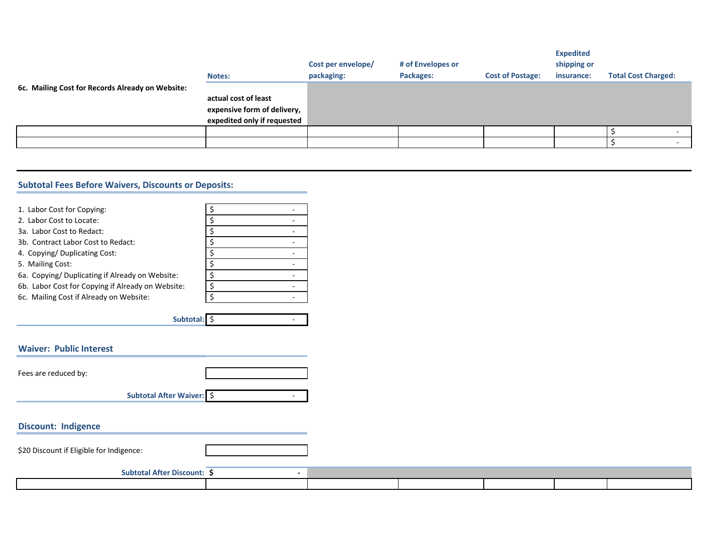|                                                  | <b>Notes:</b>                                                                      | Cost per envelope/<br>packaging: | # of Envelopes or<br>Packages: | <b>Cost of Postage:</b> | <b>Expedited</b><br>shipping or<br>insurance: | <b>Total Cost Charged:</b> |  |
|--------------------------------------------------|------------------------------------------------------------------------------------|----------------------------------|--------------------------------|-------------------------|-----------------------------------------------|----------------------------|--|
| 6c. Mailing Cost for Records Already on Website: | actual cost of least<br>expensive form of delivery,<br>expedited only if requested |                                  |                                |                         |                                               |                            |  |
|                                                  |                                                                                    |                                  |                                |                         |                                               |                            |  |
|                                                  |                                                                                    |                                  |                                |                         |                                               |                            |  |

## **Subtotal Fees Before Waivers, Discounts or Deposits:**

| 1. Labor Cost for Copying:<br>2. Labor Cost to Locate:<br>3a. Labor Cost to Redact:<br>3b. Contract Labor Cost to Redact: | \$<br>\$<br>\$<br>\$ |  |
|---------------------------------------------------------------------------------------------------------------------------|----------------------|--|
| 4. Copying/ Duplicating Cost:                                                                                             | \$                   |  |
| 5. Mailing Cost:                                                                                                          | \$                   |  |
| 6a. Copying/Duplicating if Already on Website:                                                                            | \$                   |  |
| 6b. Labor Cost for Copying if Already on Website:                                                                         | \$                   |  |
| 6c. Mailing Cost if Already on Website:                                                                                   | \$                   |  |
| Subtotal: \$                                                                                                              |                      |  |
| <b>Waiver: Public Interest</b>                                                                                            |                      |  |
| Fees are reduced by:                                                                                                      |                      |  |
|                                                                                                                           |                      |  |
| Subtotal After Waiver: \$                                                                                                 |                      |  |

## **Discount: Indigence**

\$20 Discount if Eligible for Indigence:

| .<br><b>Subtotal Atter</b><br>: Discount |  |  |  |
|------------------------------------------|--|--|--|
|                                          |  |  |  |